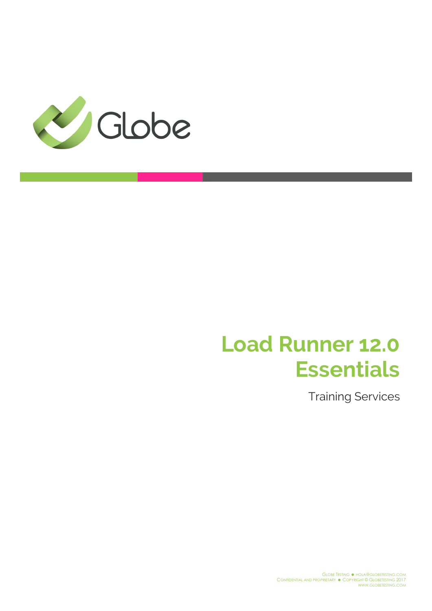

# **Load Runner 12.0 Essentials**

Training Services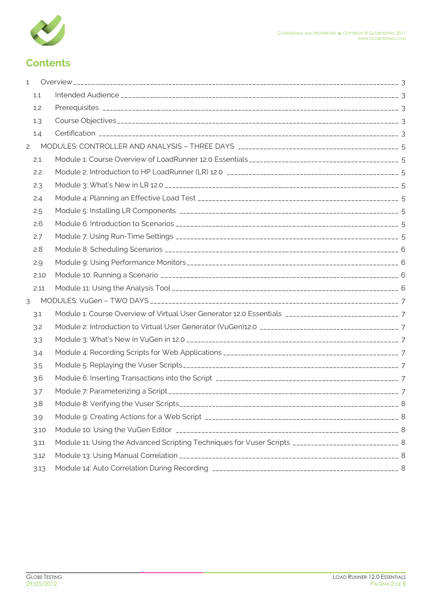

## **Contents**

| $\mathbf 1$    |      |                                                                                                      |  |
|----------------|------|------------------------------------------------------------------------------------------------------|--|
|                | 1.1  |                                                                                                      |  |
|                | 1.2  |                                                                                                      |  |
|                | 1.3  |                                                                                                      |  |
|                | 1.4  |                                                                                                      |  |
| $\overline{c}$ |      |                                                                                                      |  |
|                | 2.1  |                                                                                                      |  |
|                | 2.2  |                                                                                                      |  |
|                | 2.3  |                                                                                                      |  |
|                | 2.4  |                                                                                                      |  |
|                | 2.5  |                                                                                                      |  |
|                | 2.6  |                                                                                                      |  |
|                | 2.7  |                                                                                                      |  |
|                | 2.8  |                                                                                                      |  |
|                | 2.9  |                                                                                                      |  |
|                | 2.10 |                                                                                                      |  |
|                | 2.11 |                                                                                                      |  |
| 3              |      |                                                                                                      |  |
|                | 3.1  |                                                                                                      |  |
|                | 3.2  |                                                                                                      |  |
|                | 3.3  |                                                                                                      |  |
|                | 3.4  |                                                                                                      |  |
|                | 3.5  |                                                                                                      |  |
|                | 3.6  |                                                                                                      |  |
|                | 3.7  |                                                                                                      |  |
|                | 3.8  |                                                                                                      |  |
|                | 3.9  |                                                                                                      |  |
|                | 3.10 |                                                                                                      |  |
|                | 3.11 | Module 11: Using the Advanced Scripting Techniques for Vuser Scripts _____________________________ 8 |  |
|                | 3.12 |                                                                                                      |  |
|                | 3.13 |                                                                                                      |  |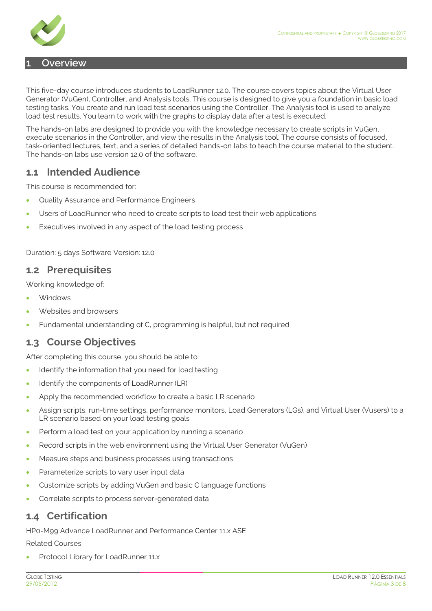

#### <span id="page-2-0"></span>**1 Overview**

This five-day course introduces students to LoadRunner 12.0. The course covers topics about the Virtual User Generator (VuGen), Controller, and Analysis tools. This course is designed to give you a foundation in basic load testing tasks. You create and run load test scenarios using the Controller. The Analysis tool is used to analyze load test results. You learn to work with the graphs to display data after a test is executed.

The hands-on labs are designed to provide you with the knowledge necessary to create scripts in VuGen, execute scenarios in the Controller, and view the results in the Analysis tool. The course consists of focused, task-oriented lectures, text, and a series of detailed hands-on labs to teach the course material to the student. The hands-on labs use version 12.0 of the software.

#### <span id="page-2-1"></span>**1.1 Intended Audience**

This course is recommended for:

- Quality Assurance and Performance Engineers
- Users of LoadRunner who need to create scripts to load test their web applications
- Executives involved in any aspect of the load testing process

Duration: 5 days Software Version: 12.0

#### <span id="page-2-2"></span>**1.2 Prerequisites**

Working knowledge of:

- **Windows**
- Websites and browsers
- Fundamental understanding of C, programming is helpful, but not required

#### <span id="page-2-3"></span>**1.3 Course Objectives**

After completing this course, you should be able to:

- Identify the information that you need for load testing
- Identify the components of LoadRunner (LR)
- Apply the recommended workflow to create a basic LR scenario
- Assign scripts, run-time settings, performance monitors, Load Generators (LGs), and Virtual User (Vusers) to a LR scenario based on your load testing goals
- Perform a load test on your application by running a scenario
- Record scripts in the web environment using the Virtual User Generator (VuGen)
- Measure steps and business processes using transactions
- Parameterize scripts to vary user input data
- Customize scripts by adding VuGen and basic C language functions
- Correlate scripts to process server-generated data

#### <span id="page-2-4"></span>**1.4 Certification**

HP0-M99 Advance LoadRunner and Performance Center 11.x ASE

Related Courses

Protocol Library for LoadRunner 11.x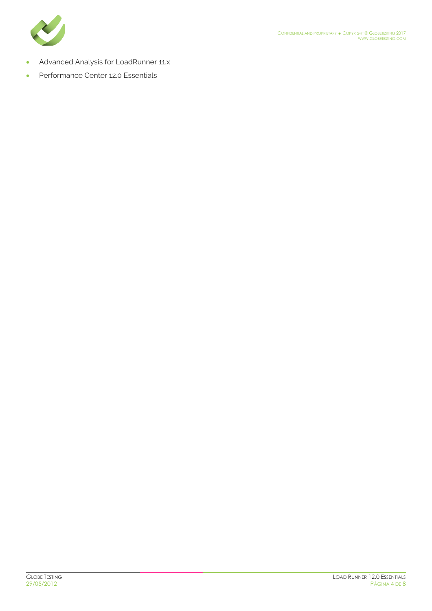

- **Advanced Analysis for LoadRunner 11.x**
- Performance Center 12.0 Essentials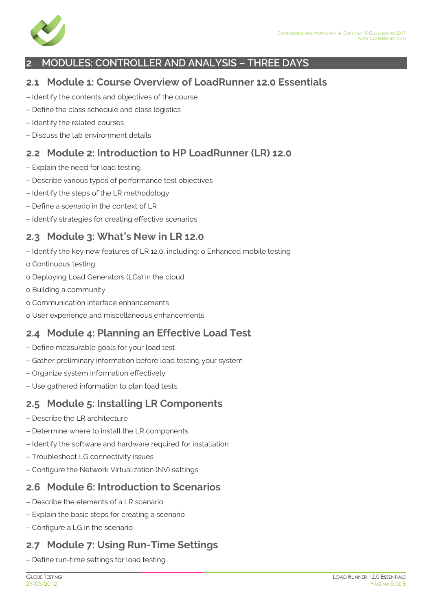

#### <span id="page-4-0"></span>**2 MODULES: CONTROLLER AND ANALYSIS – THREE DAYS**

#### <span id="page-4-1"></span>**2.1 Module 1: Course Overview of LoadRunner 12.0 Essentials**

- Identify the contents and objectives of the course
- Define the class schedule and class logistics
- Identify the related courses
- Discuss the lab environment details

#### <span id="page-4-2"></span>**2.2 Module 2: Introduction to HP LoadRunner (LR) 12.0**

- Explain the need for load testing
- Describe various types of performance test objectives
- Identify the steps of the LR methodology
- Define a scenario in the context of LR
- Identify strategies for creating effective scenarios

#### <span id="page-4-3"></span>**2.3 Module 3: What's New in LR 12.0**

- Identify the key new features of LR 12.0, including: o Enhanced mobile testing
- o Continuous testing
- o Deploying Load Generators (LGs) in the cloud
- o Building a community
- o Communication interface enhancements
- o User experience and miscellaneous enhancements

#### <span id="page-4-4"></span>**2.4 Module 4: Planning an Effective Load Test**

- Define measurable goals for your load test
- Gather preliminary information before load testing your system
- Organize system information effectively
- Use gathered information to plan load tests

#### <span id="page-4-5"></span>**2.5 Module 5: Installing LR Components**

- Describe the LR architecture
- Determine where to install the LR components
- Identify the software and hardware required for installation
- Troubleshoot LG connectivity issues
- Configure the Network Virtualization (NV) settings

#### <span id="page-4-6"></span>**2.6 Module 6: Introduction to Scenarios**

- Describe the elements of a LR scenario
- Explain the basic steps for creating a scenario
- Configure a LG in the scenario

## <span id="page-4-7"></span>**2.7 Module 7: Using Run-Time Settings**

– Define run-time settings for load testing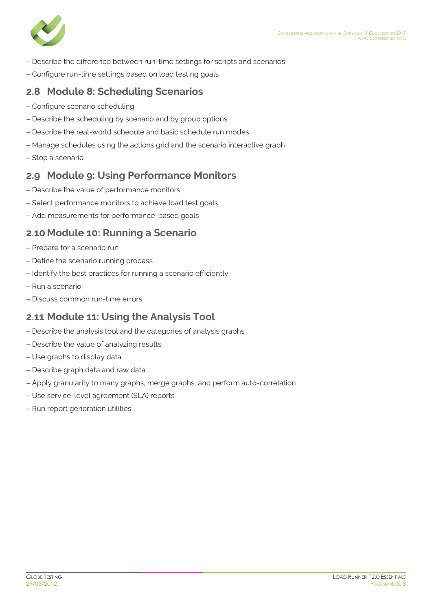

- Describe the difference between run-time settings for scripts and scenarios
- Configure run-time settings based on load testing goals

#### <span id="page-5-0"></span>**2.8 Module 8: Scheduling Scenarios**

- Configure scenario scheduling
- Describe the scheduling by scenario and by group options
- Describe the real-world schedule and basic schedule run modes
- Manage schedules using the actions grid and the scenario interactive graph
- Stop a scenario

#### <span id="page-5-1"></span>**2.9 Module 9: Using Performance Monitors**

- Describe the value of performance monitors
- Select performance monitors to achieve load test goals
- Add measurements for performance-based goals

#### <span id="page-5-2"></span>**2.10 Module 10: Running a Scenario**

- Prepare for a scenario run
- Define the scenario running process
- Identify the best practices for running a scenario efficiently
- Run a scenario
- Discuss common run-time errors

#### <span id="page-5-3"></span>**2.11 Module 11: Using the Analysis Tool**

- Describe the analysis tool and the categories of analysis graphs
- Describe the value of analyzing results
- Use graphs to display data
- Describe graph data and raw data
- Apply granularity to many graphs, merge graphs, and perform auto-correlation
- Use service-level agreement (SLA) reports
- Run report generation utilities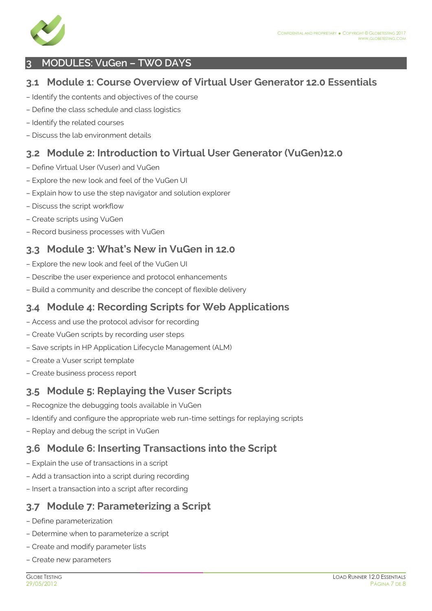

#### <span id="page-6-0"></span>**3 MODULES: VuGen – TWO DAYS**

#### <span id="page-6-1"></span>**3.1 Module 1: Course Overview of Virtual User Generator 12.0 Essentials**

- Identify the contents and objectives of the course
- Define the class schedule and class logistics
- Identify the related courses
- Discuss the lab environment details

#### <span id="page-6-2"></span>**3.2 Module 2: Introduction to Virtual User Generator (VuGen)12.0**

- Define Virtual User (Vuser) and VuGen
- Explore the new look and feel of the VuGen UI
- Explain how to use the step navigator and solution explorer
- Discuss the script workflow
- Create scripts using VuGen
- Record business processes with VuGen

#### <span id="page-6-3"></span>**3.3 Module 3: What's New in VuGen in 12.0**

- Explore the new look and feel of the VuGen UI
- Describe the user experience and protocol enhancements
- Build a community and describe the concept of flexible delivery

#### <span id="page-6-4"></span>**3.4 Module 4: Recording Scripts for Web Applications**

- Access and use the protocol advisor for recording
- Create VuGen scripts by recording user steps
- Save scripts in HP Application Lifecycle Management (ALM)
- Create a Vuser script template
- Create business process report

## <span id="page-6-5"></span>**3.5 Module 5: Replaying the Vuser Scripts**

- Recognize the debugging tools available in VuGen
- Identify and configure the appropriate web run-time settings for replaying scripts
- Replay and debug the script in VuGen

## <span id="page-6-6"></span>**3.6 Module 6: Inserting Transactions into the Script**

- Explain the use of transactions in a script
- Add a transaction into a script during recording
- Insert a transaction into a script after recording

#### <span id="page-6-7"></span>**3.7 Module 7: Parameterizing a Script**

- Define parameterization
- Determine when to parameterize a script
- Create and modify parameter lists
- Create new parameters